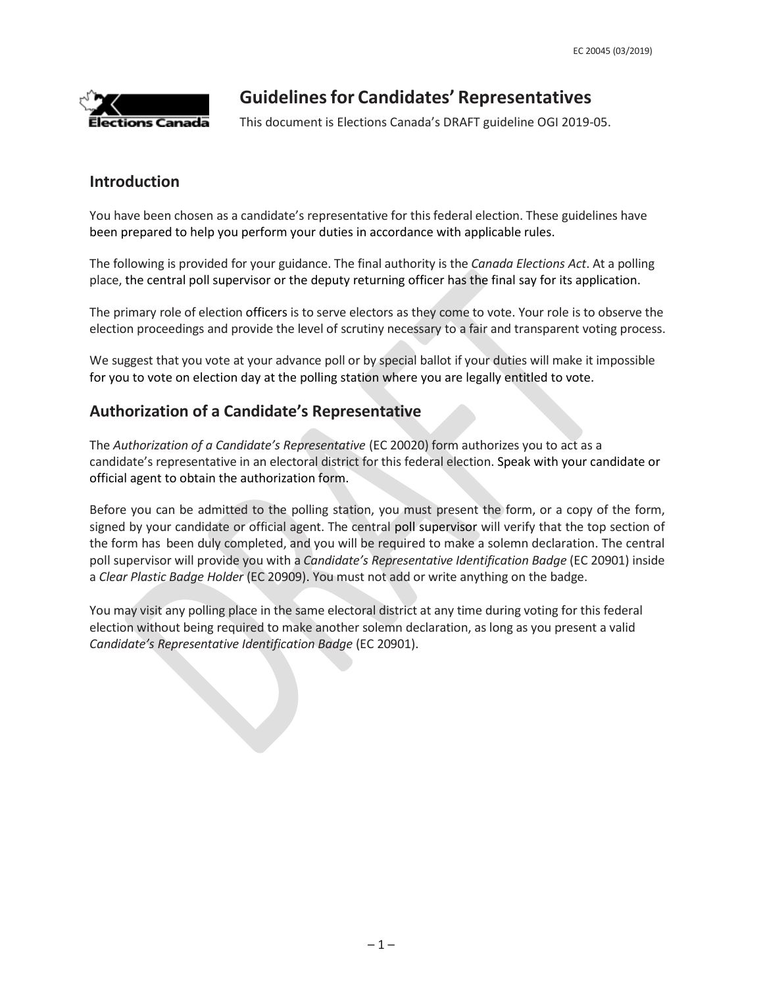

# **Guidelinesfor Candidates' Representatives**

This document is Elections Canada's DRAFT guideline OGI 2019-05.

### **Introduction**

You have been chosen as a candidate's representative for this federal election. These guidelines have been prepared to help you perform your duties in accordance with applicable rules.

The following is provided for your guidance. The final authority is the *Canada Elections Act*. At a polling place, the central poll supervisor or the deputy returning officer has the final say for its application.

The primary role of election officers is to serve electors as they come to vote. Your role is to observe the election proceedings and provide the level of scrutiny necessary to a fair and transparent voting process.

We suggest that you vote at your advance poll or by special ballot if your duties will make it impossible for you to vote on election day at the polling station where you are legally entitled to vote.

## **Authorization of a Candidate's Representative**

The *Authorization of a Candidate's Representative* (EC 20020) form authorizes you to act as a candidate's representative in an electoral district for this federal election. Speak with your candidate or official agent to obtain the authorization form.

Before you can be admitted to the polling station, you must present the form, or a copy of the form, signed by your candidate or official agent. The central poll supervisor will verify that the top section of the form has been duly completed, and you will be required to make a solemn declaration. The central poll supervisor will provide you with a *Candidate's Representative Identification Badge* (EC 20901) inside a *Clear Plastic Badge Holder* (EC 20909). You must not add or write anything on the badge.

You may visit any polling place in the same electoral district at any time during voting for this federal election without being required to make another solemn declaration, as long as you present a valid *Candidate's Representative Identification Badge* (EC 20901).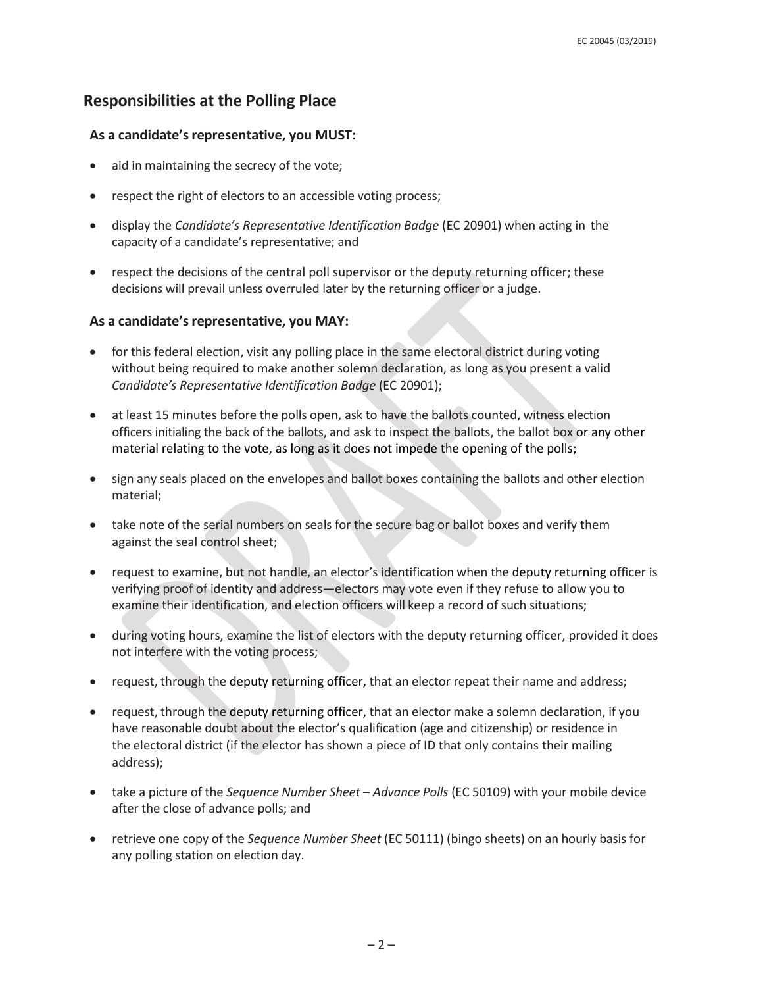### **Responsibilities at the Polling Place**

#### **As a candidate'srepresentative, you MUST:**

- aid in maintaining the secrecy of the vote;
- respect the right of electors to an accessible voting process;
- display the *Candidate's Representative Identification Badge* (EC 20901) when acting in the capacity of a candidate's representative; and
- respect the decisions of the central poll supervisor or the deputy returning officer; these decisions will prevail unless overruled later by the returning officer or a judge.

#### **As a candidate'srepresentative, you MAY:**

- for this federal election, visit any polling place in the same electoral district during voting without being required to make another solemn declaration, as long as you present a valid *Candidate's Representative Identification Badge* (EC 20901);
- at least 15 minutes before the polls open, ask to have the ballots counted, witness election officers initialing the back of the ballots, and ask to inspect the ballots, the ballot box or any other material relating to the vote, as long as it does not impede the opening of the polls;
- sign any seals placed on the envelopes and ballot boxes containing the ballots and other election material;
- take note of the serial numbers on seals for the secure bag or ballot boxes and verify them against the seal control sheet;
- request to examine, but not handle, an elector's identification when the deputy returning officer is verifying proof of identity and address—electors may vote even if they refuse to allow you to examine their identification, and election officers will keep a record of such situations;
- during voting hours, examine the list of electors with the deputy returning officer, provided it does not interfere with the voting process;
- request, through the deputy returning officer, that an elector repeat their name and address;
- request, through the deputy returning officer, that an elector make a solemn declaration, if you have reasonable doubt about the elector's qualification (age and citizenship) or residence in the electoral district (if the elector has shown a piece of ID that only contains their mailing address);
- take a picture of the *Sequence Number Sheet – Advance Polls* (EC 50109) with your mobile device after the close of advance polls; and
- retrieve one copy of the *Sequence Number Sheet* (EC 50111) (bingo sheets) on an hourly basis for any polling station on election day.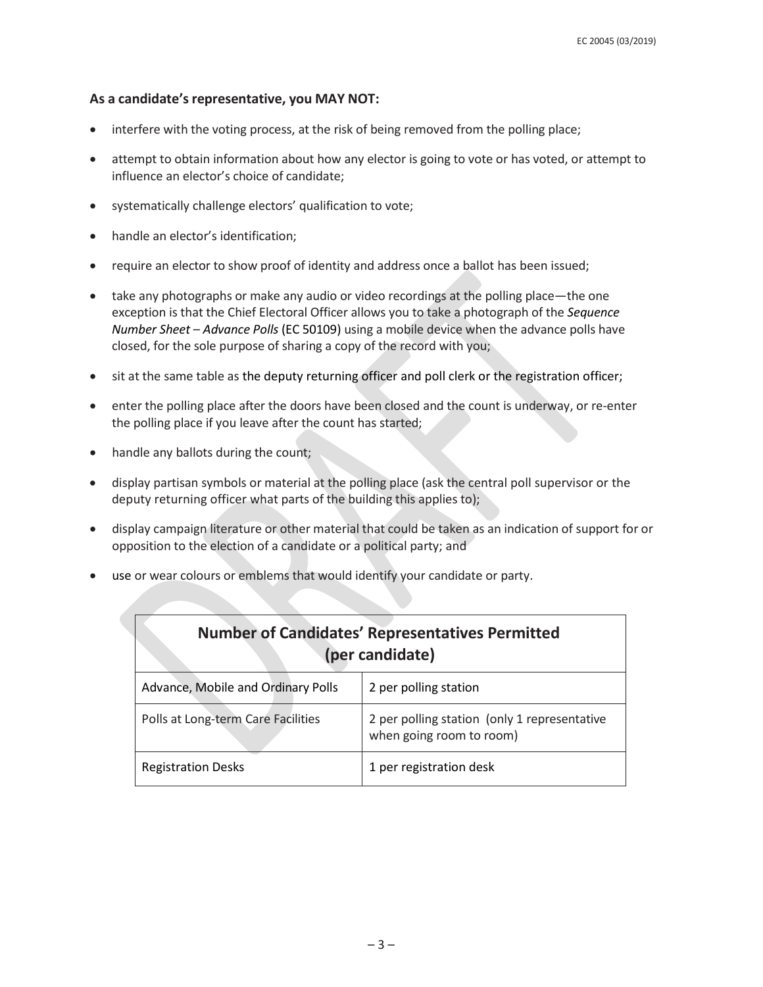#### **As a candidate'srepresentative, you MAY NOT:**

- interfere with the voting process, at the risk of being removed from the polling place;
- attempt to obtain information about how any elector is going to vote or has voted, or attempt to influence an elector's choice of candidate;
- systematically challenge electors' qualification to vote;
- handle an elector's identification;
- require an elector to show proof of identity and address once a ballot has been issued;
- take any photographs or make any audio or video recordings at the polling place—the one exception is that the Chief Electoral Officer allows you to take a photograph of the *Sequence Number Sheet – Advance Polls* (EC 50109) using a mobile device when the advance polls have closed, for the sole purpose of sharing a copy of the record with you;
- sit at the same table as the deputy returning officer and poll clerk or the registration officer;
- enter the polling place after the doors have been closed and the count is underway, or re-enter the polling place if you leave after the count has started;
- handle any ballots during the count;
- display partisan symbols or material at the polling place (ask the central poll supervisor or the deputy returning officer what parts of the building this applies to);
- display campaign literature or other material that could be taken as an indication of support for or opposition to the election of a candidate or a political party; and
- use or wear colours or emblems that would identify your candidate or party.

| <b>Number of Candidates' Representatives Permitted</b><br>(per candidate) |                                                                          |
|---------------------------------------------------------------------------|--------------------------------------------------------------------------|
| Advance, Mobile and Ordinary Polls                                        | 2 per polling station                                                    |
| Polls at Long-term Care Facilities                                        | 2 per polling station (only 1 representative<br>when going room to room) |
| <b>Registration Desks</b>                                                 | 1 per registration desk                                                  |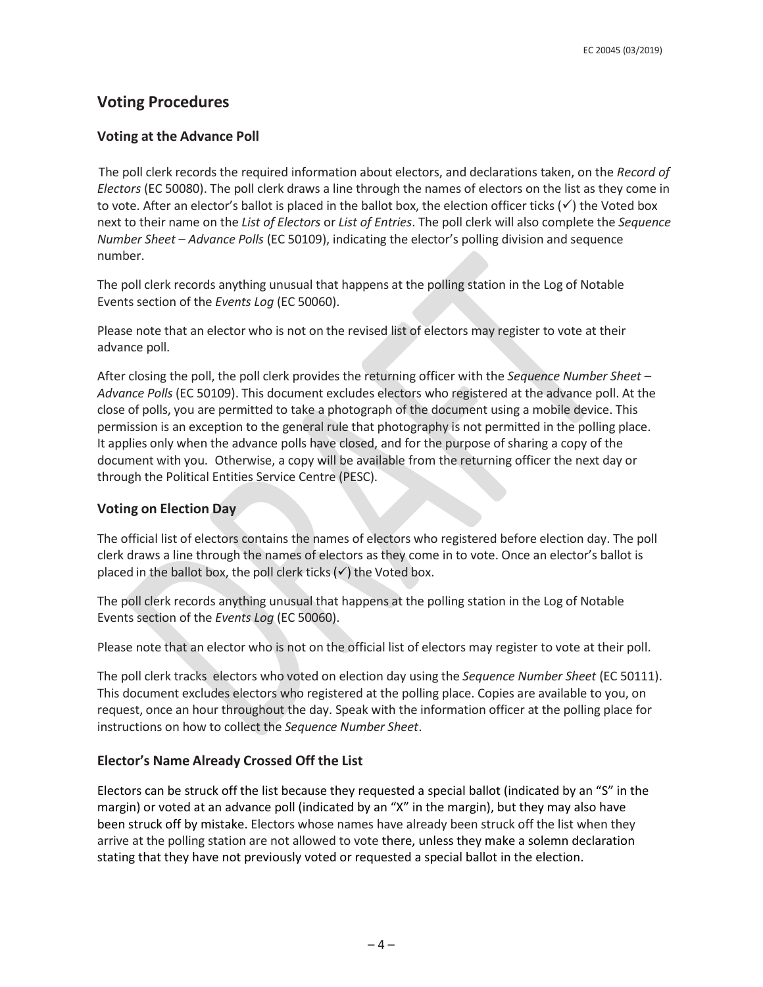## **Voting Procedures**

### **Voting at the Advance Poll**

The poll clerk records the required information about electors, and declarations taken, on the *Record of Electors* (EC 50080). The poll clerk draws a line through the names of electors on the list as they come in to vote. After an elector's ballot is placed in the ballot box, the election officer ticks  $(\checkmark)$  the Voted box next to their name on the *List of Electors* or *List of Entries*. The poll clerk will also complete the *Sequence Number Sheet – Advance Polls* (EC 50109), indicating the elector's polling division and sequence number.

The poll clerk records anything unusual that happens at the polling station in the Log of Notable Events section of the *Events Log* (EC 50060).

Please note that an elector who is not on the revised list of electors may register to vote at their advance poll.

After closing the poll, the poll clerk provides the returning officer with the *Sequence Number Sheet – Advance Polls* (EC 50109). This document excludes electors who registered at the advance poll. At the close of polls, you are permitted to take a photograph of the document using a mobile device. This permission is an exception to the general rule that photography is not permitted in the polling place. It applies only when the advance polls have closed, and for the purpose of sharing a copy of the document with you. Otherwise, a copy will be available from the returning officer the next day or through the Political Entities Service Centre (PESC).

#### **Voting on Election Day**

The official list of electors contains the names of electors who registered before election day. The poll clerk draws a line through the names of electors as they come in to vote. Once an elector's ballot is placed in the ballot box, the poll clerk ticks  $(\checkmark)$  the Voted box.

The poll clerk records anything unusual that happens at the polling station in the Log of Notable Events section of the *Events Log* (EC 50060).

Please note that an elector who is not on the official list of electors may register to vote at their poll.

The poll clerk tracks electors who voted on election day using the *Sequence Number Sheet* (EC 50111). This document excludes electors who registered at the polling place. Copies are available to you, on request, once an hour throughout the day. Speak with the information officer at the polling place for instructions on how to collect the *Sequence Number Sheet*.

#### **Elector's Name Already Crossed Off the List**

Electors can be struck off the list because they requested a special ballot (indicated by an "S" in the margin) or voted at an advance poll (indicated by an "X" in the margin), but they may also have been struck off by mistake. Electors whose names have already been struck off the list when they arrive at the polling station are not allowed to vote there, unless they make a solemn declaration stating that they have not previously voted or requested a special ballot in the election.